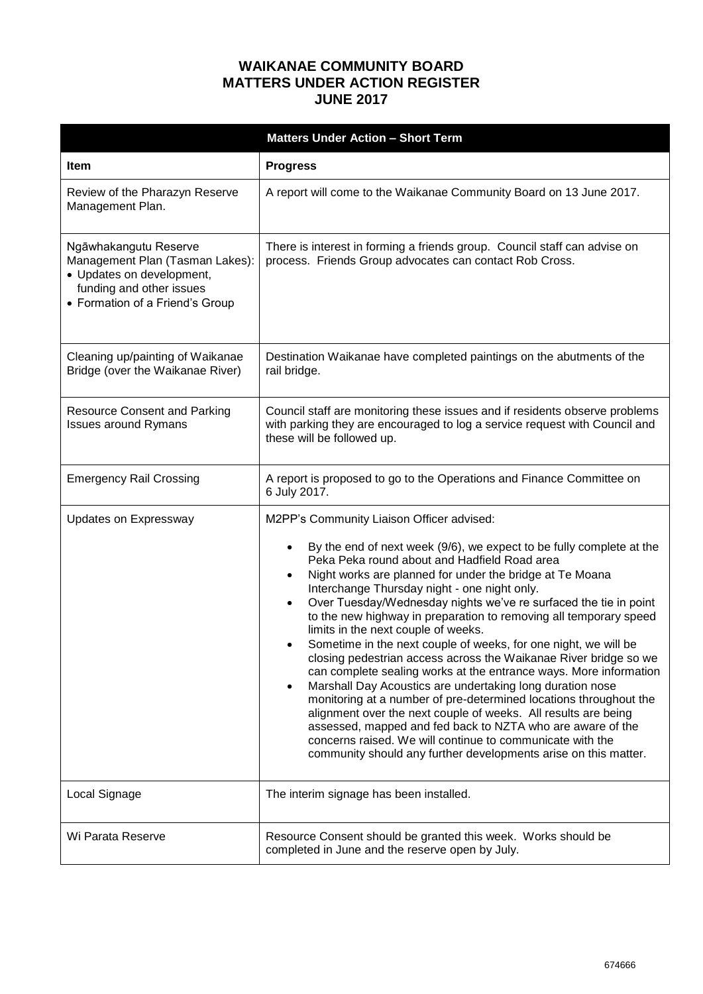## **WAIKANAE COMMUNITY BOARD MATTERS UNDER ACTION REGISTER JUNE 2017**

| <b>Matters Under Action - Short Term</b>                                                                                                             |                                                                                                                                                                                                                                                                                                                                                                                                                                                                                                                                                                                                                                                                                                                                                                                                                                                                                                                                                                                                                                                                                                                    |
|------------------------------------------------------------------------------------------------------------------------------------------------------|--------------------------------------------------------------------------------------------------------------------------------------------------------------------------------------------------------------------------------------------------------------------------------------------------------------------------------------------------------------------------------------------------------------------------------------------------------------------------------------------------------------------------------------------------------------------------------------------------------------------------------------------------------------------------------------------------------------------------------------------------------------------------------------------------------------------------------------------------------------------------------------------------------------------------------------------------------------------------------------------------------------------------------------------------------------------------------------------------------------------|
| <b>Item</b>                                                                                                                                          | <b>Progress</b>                                                                                                                                                                                                                                                                                                                                                                                                                                                                                                                                                                                                                                                                                                                                                                                                                                                                                                                                                                                                                                                                                                    |
| Review of the Pharazyn Reserve<br>Management Plan.                                                                                                   | A report will come to the Waikanae Community Board on 13 June 2017.                                                                                                                                                                                                                                                                                                                                                                                                                                                                                                                                                                                                                                                                                                                                                                                                                                                                                                                                                                                                                                                |
| Ngāwhakangutu Reserve<br>Management Plan (Tasman Lakes):<br>• Updates on development,<br>funding and other issues<br>• Formation of a Friend's Group | There is interest in forming a friends group. Council staff can advise on<br>process. Friends Group advocates can contact Rob Cross.                                                                                                                                                                                                                                                                                                                                                                                                                                                                                                                                                                                                                                                                                                                                                                                                                                                                                                                                                                               |
| Cleaning up/painting of Waikanae<br>Bridge (over the Waikanae River)                                                                                 | Destination Waikanae have completed paintings on the abutments of the<br>rail bridge.                                                                                                                                                                                                                                                                                                                                                                                                                                                                                                                                                                                                                                                                                                                                                                                                                                                                                                                                                                                                                              |
| <b>Resource Consent and Parking</b><br><b>Issues around Rymans</b>                                                                                   | Council staff are monitoring these issues and if residents observe problems<br>with parking they are encouraged to log a service request with Council and<br>these will be followed up.                                                                                                                                                                                                                                                                                                                                                                                                                                                                                                                                                                                                                                                                                                                                                                                                                                                                                                                            |
| <b>Emergency Rail Crossing</b>                                                                                                                       | A report is proposed to go to the Operations and Finance Committee on<br>6 July 2017.                                                                                                                                                                                                                                                                                                                                                                                                                                                                                                                                                                                                                                                                                                                                                                                                                                                                                                                                                                                                                              |
| Updates on Expressway                                                                                                                                | M2PP's Community Liaison Officer advised:<br>By the end of next week (9/6), we expect to be fully complete at the<br>Peka Peka round about and Hadfield Road area<br>Night works are planned for under the bridge at Te Moana<br>$\bullet$<br>Interchange Thursday night - one night only.<br>Over Tuesday/Wednesday nights we've re surfaced the tie in point<br>$\bullet$<br>to the new highway in preparation to removing all temporary speed<br>limits in the next couple of weeks.<br>Sometime in the next couple of weeks, for one night, we will be<br>closing pedestrian access across the Waikanae River bridge so we<br>can complete sealing works at the entrance ways. More information<br>Marshall Day Acoustics are undertaking long duration nose<br>$\bullet$<br>monitoring at a number of pre-determined locations throughout the<br>alignment over the next couple of weeks. All results are being<br>assessed, mapped and fed back to NZTA who are aware of the<br>concerns raised. We will continue to communicate with the<br>community should any further developments arise on this matter. |
| Local Signage                                                                                                                                        | The interim signage has been installed.                                                                                                                                                                                                                                                                                                                                                                                                                                                                                                                                                                                                                                                                                                                                                                                                                                                                                                                                                                                                                                                                            |
| Wi Parata Reserve                                                                                                                                    | Resource Consent should be granted this week. Works should be<br>completed in June and the reserve open by July.                                                                                                                                                                                                                                                                                                                                                                                                                                                                                                                                                                                                                                                                                                                                                                                                                                                                                                                                                                                                   |